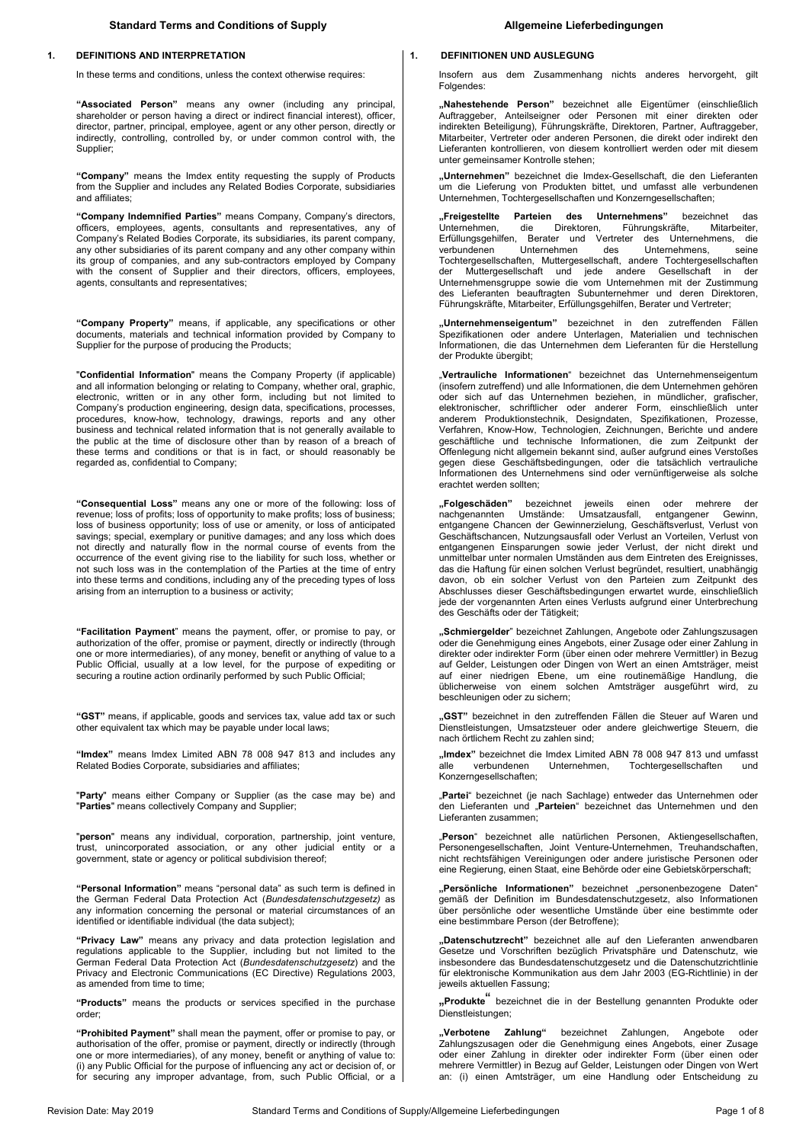# **1. DEFINITIONS AND INTERPRETATION**

In these terms and conditions, unless the context otherwise requires:

**"Associated Person"** means any owner (including any principal, shareholder or person having a direct or indirect financial interest), officer, director, partner, principal, employee, agent or any other person, directly or indirectly, controlling, controlled by, or under common control with, the Supplier;

**"Company"** means the Imdex entity requesting the supply of Products from the Supplier and includes any Related Bodies Corporate, subsidiaries and affiliates;

**"Company Indemnified Parties"** means Company, Company's directors, officers, employees, agents, consultants and representatives, any of Company's Related Bodies Corporate, its subsidiaries, its parent company, any other subsidiaries of its parent company and any other company within its group of companies, and any sub-contractors employed by Company with the consent of Supplier and their directors, officers, employees, agents, consultants and representatives;

**"Company Property"** means, if applicable, any specifications or other documents, materials and technical information provided by Company to Supplier for the purpose of producing the Products;

"**Confidential Information**" means the Company Property (if applicable) and all information belonging or relating to Company, whether oral, graphic, electronic, written or in any other form, including but not limited to Company's production engineering, design data, specifications, processes, procedures, know-how, technology, drawings, reports and any other business and technical related information that is not generally available to the public at the time of disclosure other than by reason of a breach of these terms and conditions or that is in fact, or should reasonably be regarded as, confidential to Company;

**"Consequential Loss"** means any one or more of the following: loss of revenue; loss of profits; loss of opportunity to make profits; loss of business; loss of business opportunity; loss of use or amenity, or loss of anticipated savings; special, exemplary or punitive damages; and any loss which does not directly and naturally flow in the normal course of events from the occurrence of the event giving rise to the liability for such loss, whether or not such loss was in the contemplation of the Parties at the time of entry into these terms and conditions, including any of the preceding types of loss arising from an interruption to a business or activity;

**"Facilitation Payment**" means the payment, offer, or promise to pay, or authorization of the offer, promise or payment, directly or indirectly (through one or more intermediaries), of any money, benefit or anything of value to a Public Official, usually at a low level, for the purpose of expediting or securing a routine action ordinarily performed by such Public Official;

**"GST"** means, if applicable, goods and services tax, value add tax or such other equivalent tax which may be payable under local laws;

**"Imdex"** means Imdex Limited ABN 78 008 947 813 and includes any Related Bodies Corporate, subsidiaries and affiliates;

"**Party**" means either Company or Supplier (as the case may be) and "**Parties**" means collectively Company and Supplier;

"**person**" means any individual, corporation, partnership, joint venture, trust, unincorporated association, or any other judicial entity or a government, state or agency or political subdivision thereof;

**"Personal Information"** means "personal data" as such term is defined in the German Federal Data Protection Act (*Bundesdatenschutzgesetz)* as any information concerning the personal or material circumstances of an identified or identifiable individual (the data subject);

**"Privacy Law"** means any privacy and data protection legislation and regulations applicable to the Supplier, including but not limited to the German Federal Data Protection Act (*Bundesdatenschutzgesetz*) and the Privacy and Electronic Communications (EC Directive) Regulations 2003, as amended from time to time;

**"Products"** means the products or services specified in the purchase order;

**"Prohibited Payment"** shall mean the payment, offer or promise to pay, or authorisation of the offer, promise or payment, directly or indirectly (through one or more intermediaries), of any money, benefit or anything of value to: (i) any Public Official for the purpose of influencing any act or decision of, or for securing any improper advantage, from, such Public Official, or a

### **1. DEFINITIONEN UND AUSLEGUNG**

Insofern aus dem Zusammenhang nichts anderes hervorgeht, gilt Folgendes:

**"Nahestehende Person"** bezeichnet alle Eigentümer (einschließlich Auftraggeber, Anteilseigner oder Personen mit einer direkten oder indirekten Beteiligung), Führungskräfte, Direktoren, Partner, Auftraggeber, Mitarbeiter, Vertreter oder anderen Personen, die direkt oder indirekt den Lieferanten kontrollieren, von diesem kontrolliert werden oder mit diesem unter gemeinsamer Kontrolle stehen;

**"Unternehmen"** bezeichnet die Imdex-Gesellschaft, die den Lieferanten um die Lieferung von Produkten bittet, und umfasst alle verbundenen Unternehmen, Tochtergesellschaften und Konzerngesellschaften;

**"Freigestellte Parteien des Unternehmens**" bezeichnet das<br>Unternehmen, die Direktoren, Führungskräfte, Mitarbeiter, die Direktoren, Erfüllungsgehilfen, Berater und Vertreter des Unternehmens, die verbundenen Unternehmen des Unternehmens, seine Tochtergesellschaften, Muttergesellschaft, andere Tochtergesellschaften der Muttergesellschaft und jede andere Gesellschaft in der Unternehmensgruppe sowie die vom Unternehmen mit der Zustimmung des Lieferanten beauftragten Subunternehmer und deren Direktoren, Führungskräfte, Mitarbeiter, Erfüllungsgehilfen, Berater und Vertreter;

**"Unternehmenseigentum"** bezeichnet in den zutreffenden Fällen Spezifikationen oder andere Unterlagen, Materialien und technischen Informationen, die das Unternehmen dem Lieferanten für die Herstellung der Produkte übergibt;

"**Vertrauliche Informationen**" bezeichnet das Unternehmenseigentum (insofern zutreffend) und alle Informationen, die dem Unternehmen gehören oder sich auf das Unternehmen beziehen, in mündlicher, grafischer, elektronischer, schriftlicher oder anderer Form, einschließlich unter anderem Produktionstechnik, Designdaten, Spezifikationen, Prozesse, Verfahren, Know-How, Technologien, Zeichnungen, Berichte und andere geschäftliche und technische Informationen, die zum Zeitpunkt der Offenlegung nicht allgemein bekannt sind, außer aufgrund eines Verstoßes gegen diese Geschäftsbedingungen, oder die tatsächlich vertrauliche Informationen des Unternehmens sind oder vernünftigerweise als solche erachtet werden sollten;

**"Folgeschäden"** bezeichnet jeweils einen oder mehrere der<br>nachgenannten Umstände: Umsatzausfall, entgangener Gewinn, entgangene Chancen der Gewinnerzielung, Geschäftsverlust, Verlust von Geschäftschancen, Nutzungsausfall oder Verlust an Vorteilen, Verlust von entgangenen Einsparungen sowie jeder Verlust, der nicht direkt und unmittelbar unter normalen Umständen aus dem Eintreten des Ereignisses, das die Haftung für einen solchen Verlust begründet, resultiert, unabhängig davon, ob ein solcher Verlust von den Parteien zum Zeitpunkt des Abschlusses dieser Geschäftsbedingungen erwartet wurde, einschließlich jede der vorgenannten Arten eines Verlusts aufgrund einer Unterbrechung des Geschäfts oder der Tätigkeit;

**"Schmiergelder**" bezeichnet Zahlungen, Angebote oder Zahlungszusagen oder die Genehmigung eines Angebots, einer Zusage oder einer Zahlung in direkter oder indirekter Form (über einen oder mehrere Vermittler) in Bezug auf Gelder, Leistungen oder Dingen von Wert an einen Amtsträger, meist auf einer niedrigen Ebene, um eine routinemäßige Handlung, die üblicherweise von einem solchen Amtsträger ausgeführt wird, zu beschleunigen oder zu sichern;

**"GST"** bezeichnet in den zutreffenden Fällen die Steuer auf Waren und Dienstleistungen, Umsatzsteuer oder andere gleichwertige Steuern, die nach örtlichem Recht zu zahlen sind;

**"Imdex"** bezeichnet die Imdex Limited ABN 78 008 947 813 und umfasst Tochtergesellschaften Konzerngesellschaften;

"Partei" bezeichnet (je nach Sachlage) entweder das Unternehmen oder den Lieferanten und "**Parteien**" bezeichnet das Unternehmen und den Lieferanten zusammen;

"**Person**" bezeichnet alle natürlichen Personen, Aktiengesellschaften, Personengesellschaften, Joint Venture-Unternehmen, Treuhandschaften, nicht rechtsfähigen Vereinigungen oder andere juristische Personen oder eine Regierung, einen Staat, eine Behörde oder eine Gebietskörperschaft;

**"Persönliche Informationen**" bezeichnet "personenbezogene Daten" gemäß der Definition im Bundesdatenschutzgesetz, also Informationen über persönliche oder wesentliche Umstände über eine bestimmte oder eine bestimmbare Person (der Betroffene);

**"Datenschutzrecht"** bezeichnet alle auf den Lieferanten anwendbaren Gesetze und Vorschriften bezüglich Privatsphäre und Datenschutz, wie insbesondere das Bundesdatenschutzgesetz und die Datenschutzrichtlinie für elektronische Kommunikation aus dem Jahr 2003 (EG-Richtlinie) in der jeweils aktuellen Fassung;

"**Produkte**" bezeichnet die in der Bestellung genannten Produkte oder Dienstleistungen;

**"Verbotene Zahlung"** bezeichnet Zahlungen, Angebote oder Zahlungszusagen oder die Genehmigung eines Angebots, einer Zusage oder einer Zahlung in direkter oder indirekter Form (über einen oder mehrere Vermittler) in Bezug auf Gelder, Leistungen oder Dingen von Wert an: (i) einen Amtsträger, um eine Handlung oder Entscheidung zu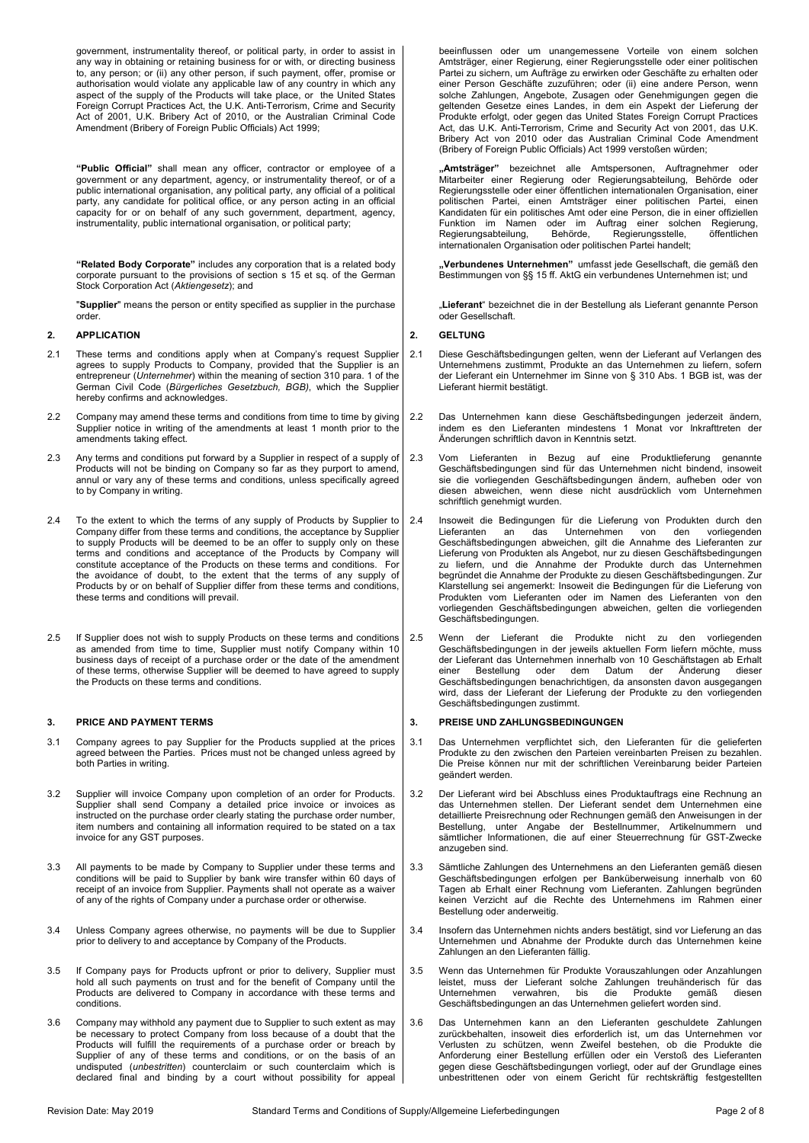government, instrumentality thereof, or political party, in order to assist in any way in obtaining or retaining business for or with, or directing business to, any person; or (ii) any other person, if such payment, offer, promise or authorisation would violate any applicable law of any country in which any aspect of the supply of the Products will take place, or the United States Foreign Corrupt Practices Act, the U.K. Anti-Terrorism, Crime and Security Act of 2001, U.K. Bribery Act of 2010, or the Australian Criminal Code Amendment (Bribery of Foreign Public Officials) Act 1999;

**"Public Official"** shall mean any officer, contractor or employee of a government or any department, agency, or instrumentality thereof, or of a public international organisation, any political party, any official of a political party, any candidate for political office, or any person acting in an official capacity for or on behalf of any such government, department, agency, instrumentality, public international organisation, or political party;

**"Related Body Corporate"** includes any corporation that is a related body corporate pursuant to the provisions of section s 15 et sq. of the German Stock Corporation Act (*Aktiengesetz*); and

"**Supplier**" means the person or entity specified as supplier in the purchase order.

# **2. APPLICATION**

- 2.1 These terms and conditions apply when at Company's request Supplier agrees to supply Products to Company, provided that the Supplier is an entrepreneur (*Unternehmer*) within the meaning of section 310 para. 1 of the German Civil Code (*Bürgerliches Gesetzbuch, BGB)*, which the Supplier hereby confirms and acknowledges.
- 2.2 Company may amend these terms and conditions from time to time by giving Supplier notice in writing of the amendments at least 1 month prior to the amendments taking effect.
- 2.3 Any terms and conditions put forward by a Supplier in respect of a supply of Products will not be binding on Company so far as they purport to amend, annul or vary any of these terms and conditions, unless specifically agreed to by Company in writing.
- 2.4 To the extent to which the terms of any supply of Products by Supplier to Company differ from these terms and conditions, the acceptance by Supplier to supply Products will be deemed to be an offer to supply only on these terms and conditions and acceptance of the Products by Company will constitute acceptance of the Products on these terms and conditions. For the avoidance of doubt, to the extent that the terms of any supply of Products by or on behalf of Supplier differ from these terms and conditions, these terms and conditions will prevail.
- 2.5 If Supplier does not wish to supply Products on these terms and conditions as amended from time to time, Supplier must notify Company within 10 business days of receipt of a purchase order or the date of the amendment of these terms, otherwise Supplier will be deemed to have agreed to supply the Products on these terms and conditions.

# **3. PRICE AND PAYMENT TERMS**

- 3.1 Company agrees to pay Supplier for the Products supplied at the prices agreed between the Parties. Prices must not be changed unless agreed by both Parties in writing.
- 3.2 Supplier will invoice Company upon completion of an order for Products. Supplier shall send Company a detailed price invoice or invoices as instructed on the purchase order clearly stating the purchase order number, item numbers and containing all information required to be stated on a tax invoice for any GST purposes.
- 3.3 All payments to be made by Company to Supplier under these terms and conditions will be paid to Supplier by bank wire transfer within 60 days of receipt of an invoice from Supplier. Payments shall not operate as a waiver of any of the rights of Company under a purchase order or otherwise.
- 3.4 Unless Company agrees otherwise, no payments will be due to Supplier prior to delivery to and acceptance by Company of the Products.
- 3.5 If Company pays for Products upfront or prior to delivery, Supplier must hold all such payments on trust and for the benefit of Company until the Products are delivered to Company in accordance with these terms and conditions.
- 3.6 Company may withhold any payment due to Supplier to such extent as may be necessary to protect Company from loss because of a doubt that the Products will fulfill the requirements of a purchase order or breach by Supplier of any of these terms and conditions, or on the basis of an undisputed (*unbestritten*) counterclaim or such counterclaim which is declared final and binding by a court without possibility for appeal

beeinflussen oder um unangemessene Vorteile von einem solchen Amtsträger, einer Regierung, einer Regierungsstelle oder einer politischen Partei zu sichern, um Aufträge zu erwirken oder Geschäfte zu erhalten oder einer Person Geschäfte zuzuführen; oder (ii) eine andere Person, wenn solche Zahlungen, Angebote, Zusagen oder Genehmigungen gegen die geltenden Gesetze eines Landes, in dem ein Aspekt der Lieferung der Produkte erfolgt, oder gegen das United States Foreign Corrupt Practices Act, das U.K. Anti-Terrorism, Crime and Security Act von 2001, das U.K. Bribery Act von 2010 oder das Australian Criminal Code Amendment (Bribery of Foreign Public Officials) Act 1999 verstoßen würden;

**"Amtsträger"** bezeichnet alle Amtspersonen, Auftragnehmer oder Mitarbeiter einer Regierung oder Regierungsabteilung, Behörde oder Regierungsstelle oder einer öffentlichen internationalen Organisation, einer politischen Partei, einen Amtsträger einer politischen Partei, einen Kandidaten für ein politisches Amt oder eine Person, die in einer offiziellen Funktion im Namen oder im Auftrag einer solchen Regierung, Regierungsabteilung, Behörde, Regierungsstelle, öffentlichen internationalen Organisation oder politischen Partei handelt;

**"Verbundenes Unternehmen"** umfasst jede Gesellschaft, die gemäß den Bestimmungen von §§ 15 ff. AktG ein verbundenes Unternehmen ist; und

"Lieferant" bezeichnet die in der Bestellung als Lieferant genannte Person oder Gesellschaft.

### **2. GELTUNG**

- 2.1 Diese Geschäftsbedingungen gelten, wenn der Lieferant auf Verlangen des Unternehmens zustimmt, Produkte an das Unternehmen zu liefern, sofern der Lieferant ein Unternehmer im Sinne von § 310 Abs. 1 BGB ist, was der Lieferant hiermit bestätigt.
- 2.2 Das Unternehmen kann diese Geschäftsbedingungen jederzeit ändern, indem es den Lieferanten mindestens 1 Monat vor Inkrafttreten der Änderungen schriftlich davon in Kenntnis setzt.
- 2.3 Vom Lieferanten in Bezug auf eine Produktlieferung genannte Geschäftsbedingungen sind für das Unternehmen nicht bindend, insoweit sie die vorliegenden Geschäftsbedingungen ändern, aufheben oder von diesen abweichen, wenn diese nicht ausdrücklich vom Unternehmen schriftlich genehmigt wurden.
- 2.4 Insoweit die Bedingungen für die Lieferung von Produkten durch den Lieferanten an das Unternehmen von den vorliegenden Geschäftsbedingungen abweichen, gilt die Annahme des Lieferanten zur Lieferung von Produkten als Angebot, nur zu diesen Geschäftsbedingungen zu liefern, und die Annahme der Produkte durch das Unternehmen begründet die Annahme der Produkte zu diesen Geschäftsbedingungen. Zur Klarstellung sei angemerkt: Insoweit die Bedingungen für die Lieferung von Produkten vom Lieferanten oder im Namen des Lieferanten von den vorliegenden Geschäftsbedingungen abweichen, gelten die vorliegenden Geschäftsbedingungen.
- 2.5 Wenn der Lieferant die Produkte nicht zu den vorliegenden Geschäftsbedingungen in der jeweils aktuellen Form liefern möchte, muss der Lieferant das Unternehmen innerhalb von 10 Geschäftstagen ab Erhalt<br>einer Bestellung oder dem Datum der Änderung dieser einer Bestellung oder France dem Datum der Änderung Geschäftsbedingungen benachrichtigen, da ansonsten davon ausgegangen wird, dass der Lieferant der Lieferung der Produkte zu den vorliegenden Geschäftsbedingungen zustimmt.

# **3. PREISE UND ZAHLUNGSBEDINGUNGEN**

- 3.1 Das Unternehmen verpflichtet sich, den Lieferanten für die gelieferten Produkte zu den zwischen den Parteien vereinbarten Preisen zu bezahlen. Die Preise können nur mit der schriftlichen Vereinbarung beider Parteien geändert werden.
- 3.2 Der Lieferant wird bei Abschluss eines Produktauftrags eine Rechnung an das Unternehmen stellen. Der Lieferant sendet dem Unternehmen eine detaillierte Preisrechnung oder Rechnungen gemäß den Anweisungen in der Bestellung, unter Angabe der Bestellnummer, Artikelnummern und sämtlicher Informationen, die auf einer Steuerrechnung für GST-Zwecke anzugeben sind.
- 3.3 Sämtliche Zahlungen des Unternehmens an den Lieferanten gemäß diesen Geschäftsbedingungen erfolgen per Banküberweisung innerhalb von 60 Tagen ab Erhalt einer Rechnung vom Lieferanten. Zahlungen begründen keinen Verzicht auf die Rechte des Unternehmens im Rahmen einer Bestellung oder anderweitig.
- 3.4 Insofern das Unternehmen nichts anders bestätigt, sind vor Lieferung an das Unternehmen und Abnahme der Produkte durch das Unternehmen keine Zahlungen an den Lieferanten fällig.
- 3.5 Wenn das Unternehmen für Produkte Vorauszahlungen oder Anzahlungen leistet, muss der Lieferant solche Zahlungen treuhänderisch für das<br>Unternehmen verwahren bis die Produkte gemäß diesen verwahren, bis die Produkte gemäß Geschäftsbedingungen an das Unternehmen geliefert worden sind.
- 3.6 Das Unternehmen kann an den Lieferanten geschuldete Zahlungen zurückbehalten, insoweit dies erforderlich ist, um das Unternehmen vor Verlusten zu schützen, wenn Zweifel bestehen, ob die Produkte die Anforderung einer Bestellung erfüllen oder ein Verstoß des Lieferanten gegen diese Geschäftsbedingungen vorliegt, oder auf der Grundlage eines unbestrittenen oder von einem Gericht für rechtskräftig festgestellten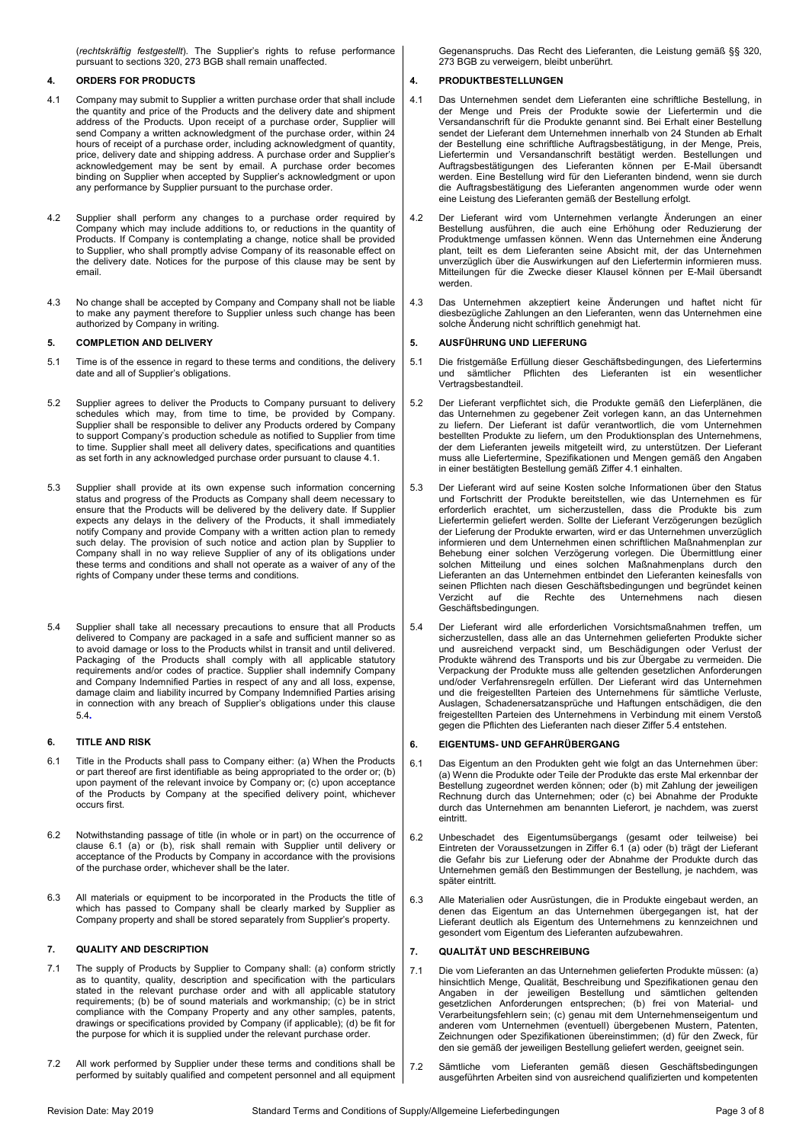(*rechtskräftig festgestellt*). The Supplier's rights to refuse performance pursuant to sections 320, 273 BGB shall remain unaffected.

# **4. ORDERS FOR PRODUCTS**

- 4.1 Company may submit to Supplier a written purchase order that shall include the quantity and price of the Products and the delivery date and shipment address of the Products. Upon receipt of a purchase order, Supplier will send Company a written acknowledgment of the purchase order, within 24 hours of receipt of a purchase order, including acknowledgment of quantity, price, delivery date and shipping address. A purchase order and Supplier's acknowledgement may be sent by email. A purchase order becomes binding on Supplier when accepted by Supplier's acknowledgment or upon any performance by Supplier pursuant to the purchase order.
- 4.2 Supplier shall perform any changes to a purchase order required by Company which may include additions to, or reductions in the quantity of Products. If Company is contemplating a change, notice shall be provided to Supplier, who shall promptly advise Company of its reasonable effect on the delivery date. Notices for the purpose of this clause may be sent by email.
- 4.3 No change shall be accepted by Company and Company shall not be liable to make any payment therefore to Supplier unless such change has been authorized by Company in writing.

### **5. COMPLETION AND DELIVERY**

- 5.1 Time is of the essence in regard to these terms and conditions, the delivery date and all of Supplier's obligations.
- 5.2 Supplier agrees to deliver the Products to Company pursuant to delivery schedules which may, from time to time, be provided by Company. Supplier shall be responsible to deliver any Products ordered by Company to support Company's production schedule as notified to Supplier from time to time. Supplier shall meet all delivery dates, specifications and quantities as set forth in any acknowledged purchase order pursuant to claus[e 4.1.](#page-2-0)
- 5.3 Supplier shall provide at its own expense such information concerning status and progress of the Products as Company shall deem necessary to ensure that the Products will be delivered by the delivery date. If Supplier expects any delays in the delivery of the Products, it shall immediately notify Company and provide Company with a written action plan to remedy such delay. The provision of such notice and action plan by Supplier to Company shall in no way relieve Supplier of any of its obligations under these terms and conditions and shall not operate as a waiver of any of the rights of Company under these terms and conditions.
- 5.4 Supplier shall take all necessary precautions to ensure that all Products delivered to Company are packaged in a safe and sufficient manner so as to avoid damage or loss to the Products whilst in transit and until delivered. Packaging of the Products shall comply with all applicable statutory requirements and/or codes of practice. Supplier shall indemnify Company and Company Indemnified Parties in respect of any and all loss, expense, damage claim and liability incurred by Company Indemnified Parties arising in connection with any breach of Supplier's obligations under this clause [5.4](#page-2-1)**.**

# **6. TITLE AND RISK**

- 6.1 Title in the Products shall pass to Company either: (a) When the Products or part thereof are first identifiable as being appropriated to the order or; (b) upon payment of the relevant invoice by Company or; (c) upon acceptance of the Products by Company at the specified delivery point, whichever occurs first.
- 6.2 Notwithstanding passage of title (in whole or in part) on the occurrence of clause [6.1](#page-2-2) (a) or (b), risk shall remain with Supplier until delivery or acceptance of the Products by Company in accordance with the provisions of the purchase order, whichever shall be the later.
- 6.3 All materials or equipment to be incorporated in the Products the title of which has passed to Company shall be clearly marked by Supplier as Company property and shall be stored separately from Supplier's property.

#### **7. QUALITY AND DESCRIPTION**

- 7.1 The supply of Products by Supplier to Company shall: (a) conform strictly as to quantity, quality, description and specification with the particulars stated in the relevant purchase order and with all applicable statutory requirements; (b) be of sound materials and workmanship; (c) be in strict compliance with the Company Property and any other samples, patents, drawings or specifications provided by Company (if applicable); (d) be fit for the purpose for which it is supplied under the relevant purchase order.
- 7.2 All work performed by Supplier under these terms and conditions shall be performed by suitably qualified and competent personnel and all equipment

Gegenanspruchs. Das Recht des Lieferanten, die Leistung gemäß §§ 320, 273 BGB zu verweigern, bleibt unberührt.

# **4. PRODUKTBESTELLUNGEN**

- <span id="page-2-0"></span>4.1 Das Unternehmen sendet dem Lieferanten eine schriftliche Bestellung, in der Menge und Preis der Produkte sowie der Liefertermin und die Versandanschrift für die Produkte genannt sind. Bei Erhalt einer Bestellung sendet der Lieferant dem Unternehmen innerhalb von 24 Stunden ab Erhalt der Bestellung eine schriftliche Auftragsbestätigung, in der Menge, Preis, Liefertermin und Versandanschrift bestätigt werden. Bestellungen und Auftragsbestätigungen des Lieferanten können per E-Mail übersandt werden. Eine Bestellung wird für den Lieferanten bindend, wenn sie durch die Auftragsbestätigung des Lieferanten angenommen wurde oder wenn eine Leistung des Lieferanten gemäß der Bestellung erfolgt.
- 4.2 Der Lieferant wird vom Unternehmen verlangte Änderungen an einer Bestellung ausführen, die auch eine Erhöhung oder Reduzierung der Produktmenge umfassen können. Wenn das Unternehmen eine Änderung plant, teilt es dem Lieferanten seine Absicht mit, der das Unternehmen unverzüglich über die Auswirkungen auf den Liefertermin informieren muss. Mitteilungen für die Zwecke dieser Klausel können per E-Mail übersandt werden.
- 4.3 Das Unternehmen akzeptiert keine Änderungen und haftet nicht für diesbezügliche Zahlungen an den Lieferanten, wenn das Unternehmen eine solche Änderung nicht schriftlich genehmigt hat.

# **5. AUSFÜHRUNG UND LIEFERUNG**

- 5.1 Die fristgemäße Erfüllung dieser Geschäftsbedingungen, des Liefertermins und sämtlicher Pflichten des Lieferanten ist ein wesentlicher Vertragsbestandteil.
- 5.2 Der Lieferant verpflichtet sich, die Produkte gemäß den Lieferplänen, die das Unternehmen zu gegebener Zeit vorlegen kann, an das Unternehmen zu liefern. Der Lieferant ist dafür verantwortlich, die vom Unternehmen bestellten Produkte zu liefern, um den Produktionsplan des Unternehmens, der dem Lieferanten jeweils mitgeteilt wird, zu unterstützen. Der Lieferant muss alle Liefertermine, Spezifikationen und Mengen gemäß den Angaben in einer bestätigten Bestellung gemäß Ziffe[r 4.1](#page-2-0) einhalten.
- 5.3 Der Lieferant wird auf seine Kosten solche Informationen über den Status und Fortschritt der Produkte bereitstellen, wie das Unternehmen es für erforderlich erachtet, um sicherzustellen, dass die Produkte bis zum Liefertermin geliefert werden. Sollte der Lieferant Verzögerungen bezüglich der Lieferung der Produkte erwarten, wird er das Unternehmen unverzüglich informieren und dem Unternehmen einen schriftlichen Maßnahmenplan zur Behebung einer solchen Verzögerung vorlegen. Die Übermittlung einer solchen Mitteilung und eines solchen Maßnahmenplans durch den Lieferanten an das Unternehmen entbindet den Lieferanten keinesfalls von seinen Pflichten nach diesen Geschäftsbedingungen und begründet keinen Verzicht auf die Rechte des Unternehmens nach diesen Geschäftsbedingungen.
- <span id="page-2-1"></span>5.4 Der Lieferant wird alle erforderlichen Vorsichtsmaßnahmen treffen, um sicherzustellen, dass alle an das Unternehmen gelieferten Produkte sicher und ausreichend verpackt sind, um Beschädigungen oder Verlust der Produkte während des Transports und bis zur Übergabe zu vermeiden. Die Verpackung der Produkte muss alle geltenden gesetzlichen Anforderungen und/oder Verfahrensregeln erfüllen. Der Lieferant wird das Unternehmen und die freigestellten Parteien des Unternehmens für sämtliche Verluste, Auslagen, Schadenersatzansprüche und Haftungen entschädigen, die den freigestellten Parteien des Unternehmens in Verbindung mit einem Verstoß gegen die Pflichten des Lieferanten nach dieser Ziffer [5.4](#page-2-1) entstehen.

# **6. EIGENTUMS- UND GEFAHRÜBERGANG**

- <span id="page-2-2"></span>6.1 Das Eigentum an den Produkten geht wie folgt an das Unternehmen über: (a) Wenn die Produkte oder Teile der Produkte das erste Mal erkennbar der Bestellung zugeordnet werden können; oder (b) mit Zahlung der jeweiligen Rechnung durch das Unternehmen; oder (c) bei Abnahme der Produkte durch das Unternehmen am benannten Lieferort, je nachdem, was zuerst eintritt.
- 6.2 Unbeschadet des Eigentumsübergangs (gesamt oder teilweise) bei Eintreten der Voraussetzungen in Ziffer [6.1](#page-2-2) (a) oder (b) trägt der Lieferant die Gefahr bis zur Lieferung oder der Abnahme der Produkte durch das Unternehmen gemäß den Bestimmungen der Bestellung, je nachdem, was später eintritt.
- 6.3 Alle Materialien oder Ausrüstungen, die in Produkte eingebaut werden, an denen das Eigentum an das Unternehmen übergegangen ist, hat der Lieferant deutlich als Eigentum des Unternehmens zu kennzeichnen und gesondert vom Eigentum des Lieferanten aufzubewahren.

#### **7. QUALITÄT UND BESCHREIBUNG**

- 7.1 Die vom Lieferanten an das Unternehmen gelieferten Produkte müssen: (a) hinsichtlich Menge, Qualität, Beschreibung und Spezifikationen genau den Angaben in der jeweiligen Bestellung und sämtlichen geltenden gesetzlichen Anforderungen entsprechen; (b) frei von Material- und Verarbeitungsfehlern sein; (c) genau mit dem Unternehmenseigentum und anderen vom Unternehmen (eventuell) übergebenen Mustern, Patenten, Zeichnungen oder Spezifikationen übereinstimmen; (d) für den Zweck, für den sie gemäß der jeweiligen Bestellung geliefert werden, geeignet sein.
- 7.2 Sämtliche vom Lieferanten gemäß diesen Geschäftsbedingungen ausgeführten Arbeiten sind von ausreichend qualifizierten und kompetenten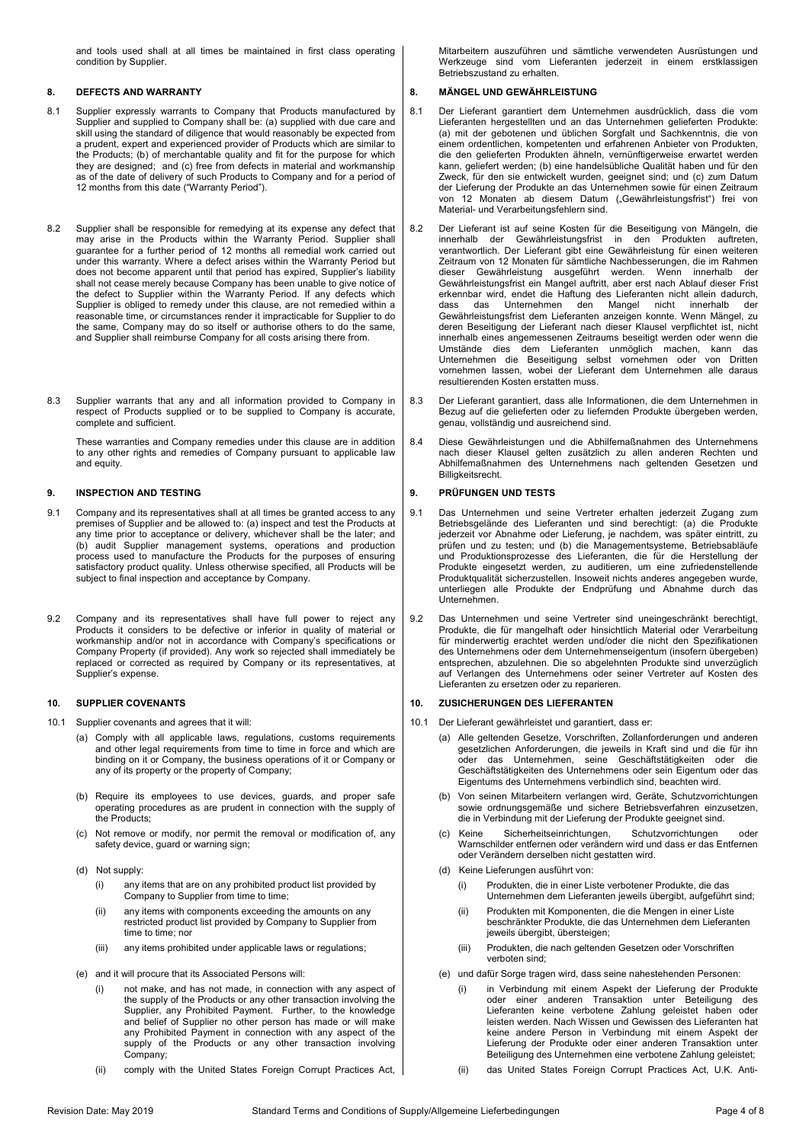and tools used shall at all times be maintained in first class operating condition by Supplier.

### **8. DEFECTS AND WARRANTY**

- 8.1 Supplier expressly warrants to Company that Products manufactured by Supplier and supplied to Company shall be: (a) supplied with due care and skill using the standard of diligence that would reasonably be expected from a prudent, expert and experienced provider of Products which are similar to the Products; (b) of merchantable quality and fit for the purpose for which they are designed; and (c) free from defects in material and workmanship as of the date of delivery of such Products to Company and for a period of 12 months from this date ("Warranty Period").
- 8.2 Supplier shall be responsible for remedying at its expense any defect that may arise in the Products within the Warranty Period. Supplier shall guarantee for a further period of 12 months all remedial work carried out under this warranty. Where a defect arises within the Warranty Period but does not become apparent until that period has expired, Supplier's liability shall not cease merely because Company has been unable to give notice of the defect to Supplier within the Warranty Period. If any defects which Supplier is obliged to remedy under this clause, are not remedied within a reasonable time, or circumstances render it impracticable for Supplier to do the same, Company may do so itself or authorise others to do the same, and Supplier shall reimburse Company for all costs arising there from.
- 8.3 Supplier warrants that any and all information provided to Company in respect of Products supplied or to be supplied to Company is accurate, complete and sufficient.

These warranties and Company remedies under this clause are in addition to any other rights and remedies of Company pursuant to applicable law and equity.

# **9. INSPECTION AND TESTING**

- 9.1 Company and its representatives shall at all times be granted access to any premises of Supplier and be allowed to: (a) inspect and test the Products at any time prior to acceptance or delivery, whichever shall be the later; and (b) audit Supplier management systems, operations and production process used to manufacture the Products for the purposes of ensuring satisfactory product quality. Unless otherwise specified, all Products will be subject to final inspection and acceptance by Company.
- 9.2 Company and its representatives shall have full power to reject any Products it considers to be defective or inferior in quality of material or workmanship and/or not in accordance with Company's specifications or Company Property (if provided). Any work so rejected shall immediately be replaced or corrected as required by Company or its representatives, at Supplier's expense.

### **10. SUPPLIER COVENANTS**

10.1 Supplier covenants and agrees that it will:

- (a) Comply with all applicable laws, regulations, customs requirements and other legal requirements from time to time in force and which are binding on it or Company, the business operations of it or Company or any of its property or the property of Company;
- (b) Require its employees to use devices, guards, and proper safe operating procedures as are prudent in connection with the supply of the Products;
- (c) Not remove or modify, nor permit the removal or modification of, any safety device, guard or warning sign;
- (d) Not supply:
	- (i) any items that are on any prohibited product list provided by Company to Supplier from time to time;
	- (ii) any items with components exceeding the amounts on any restricted product list provided by Company to Supplier from time to time; nor
	- (iii) any items prohibited under applicable laws or regulations;
- (e) and it will procure that its Associated Persons will:
	- not make, and has not made, in connection with any aspect of the supply of the Products or any other transaction involving the Supplier, any Prohibited Payment. Further, to the knowledge and belief of Supplier no other person has made or will make any Prohibited Payment in connection with any aspect of the supply of the Products or any other transaction involving Company;
	- (ii) comply with the United States Foreign Corrupt Practices Act,

Mitarbeitern auszuführen und sämtliche verwendeten Ausrüstungen und Werkzeuge sind vom Lieferanten jederzeit in einem erstklassigen Betriebszustand zu erhalten.

# **8. MÄNGEL UND GEWÄHRLEISTUNG**

- 8.1 Der Lieferant garantiert dem Unternehmen ausdrücklich, dass die vom Lieferanten hergestellten und an das Unternehmen gelieferten Produkte: (a) mit der gebotenen und üblichen Sorgfalt und Sachkenntnis, die von einem ordentlichen, kompetenten und erfahrenen Anbieter von Produkten, die den gelieferten Produkten ähneln, vernünftigerweise erwartet werden kann, geliefert werden; (b) eine handelsübliche Qualität haben und für den Zweck, für den sie entwickelt wurden, geeignet sind; und (c) zum Datum der Lieferung der Produkte an das Unternehmen sowie für einen Zeitraum von 12 Monaten ab diesem Datum ("Gewährleistungsfrist") frei von Material- und Verarbeitungsfehlern sind.
- 8.2 Der Lieferant ist auf seine Kosten für die Beseitigung von Mängeln, die innerhalb der Gewährleistungsfrist in den Produkten auftreten, verantwortlich. Der Lieferant gibt eine Gewährleistung für einen weiteren Zeitraum von 12 Monaten für sämtliche Nachbesserungen, die im Rahmen dieser Gewährleistung ausgeführt werden. Wenn innerhalb der Gewährleistungsfrist ein Mangel auftritt, aber erst nach Ablauf dieser Frist erkennbar wird, endet die Haftung des Lieferanten nicht allein dadurch, dass das Unternehmen den Mangel nicht innerhalb der Gewährleistungsfrist dem Lieferanten anzeigen konnte. Wenn Mängel, zu deren Beseitigung der Lieferant nach dieser Klausel verpflichtet ist, nicht innerhalb eines angemessenen Zeitraums beseitigt werden oder wenn die Umstände dies dem Lieferanten unmöglich machen, kann das Unternehmen die Beseitigung selbst vornehmen oder von Dritten vornehmen lassen, wobei der Lieferant dem Unternehmen alle daraus resultierenden Kosten erstatten muss.
- 8.3 Der Lieferant garantiert, dass alle Informationen, die dem Unternehmen in Bezug auf die gelieferten oder zu liefernden Produkte übergeben werden, genau, vollständig und ausreichend sind.
- 8.4 Diese Gewährleistungen und die Abhilfemaßnahmen des Unternehmens nach dieser Klausel gelten zusätzlich zu allen anderen Rechten und Abhilfemaßnahmen des Unternehmens nach geltenden Gesetzen und **Billigkeitsrecht**

# **9. PRÜFUNGEN UND TESTS**

- 9.1 Das Unternehmen und seine Vertreter erhalten jederzeit Zugang zum Betriebsgelände des Lieferanten und sind berechtigt: (a) die Produkte jederzeit vor Abnahme oder Lieferung, je nachdem, was später eintritt, zu prüfen und zu testen; und (b) die Managementsysteme, Betriebsabläufe und Produktionsprozesse des Lieferanten, die für die Herstellung der Produkte eingesetzt werden, zu auditieren, um eine zufriedenstellende Produktqualität sicherzustellen. Insoweit nichts anderes angegeben wurde, unterliegen alle Produkte der Endprüfung und Abnahme durch das Unternehmen.
- 9.2 Das Unternehmen und seine Vertreter sind uneingeschränkt berechtigt, Produkte, die für mangelhaft oder hinsichtlich Material oder Verarbeitung für minderwertig erachtet werden und/oder die nicht den Spezifikationen des Unternehmens oder dem Unternehmenseigentum (insofern übergeben) entsprechen, abzulehnen. Die so abgelehnten Produkte sind unverzüglich auf Verlangen des Unternehmens oder seiner Vertreter auf Kosten des Lieferanten zu ersetzen oder zu reparieren.

#### **10. ZUSICHERUNGEN DES LIEFERANTEN**

- 10.1 Der Lieferant gewährleistet und garantiert, dass er:
	- (a) Alle geltenden Gesetze, Vorschriften, Zollanforderungen und anderen gesetzlichen Anforderungen, die jeweils in Kraft sind und die für ihn oder das Unternehmen, seine Geschäftstätigkeiten oder die Geschäftstätigkeiten des Unternehmens oder sein Eigentum oder das Eigentums des Unternehmens verbindlich sind, beachten wird.
	- (b) Von seinen Mitarbeitern verlangen wird, Geräte, Schutzvorrichtungen sowie ordnungsgemäße und sichere Betriebsverfahren einzusetzen, die in Verbindung mit der Lieferung der Produkte geeignet sind.
	- Keine Sicherheitseinrichtungen, Schutzvorrichtungen oder Warnschilder entfernen oder verändern wird und dass er das Entfernen oder Verändern derselben nicht gestatten wird.
	- (d) Keine Lieferungen ausführt von:
		- (i) Produkten, die in einer Liste verbotener Produkte, die das Unternehmen dem Lieferanten jeweils übergibt, aufgeführt sind;
		- (ii) Produkten mit Komponenten, die die Mengen in einer Liste beschränkter Produkte, die das Unternehmen dem Lieferanten jeweils übergibt, übersteigen;
		- (iii) Produkten, die nach geltenden Gesetzen oder Vorschriften verboten sind;
	- (e) und dafür Sorge tragen wird, dass seine nahestehenden Personen:
		- (i) in Verbindung mit einem Aspekt der Lieferung der Produkte oder einer anderen Transaktion unter Beteiligung des Lieferanten keine verbotene Zahlung geleistet haben oder leisten werden. Nach Wissen und Gewissen des Lieferanten hat keine andere Person in Verbindung mit einem Aspekt der Lieferung der Produkte oder einer anderen Transaktion unter Beteiligung des Unternehmen eine verbotene Zahlung geleistet;
		- (ii) das United States Foreign Corrupt Practices Act, U.K. Anti-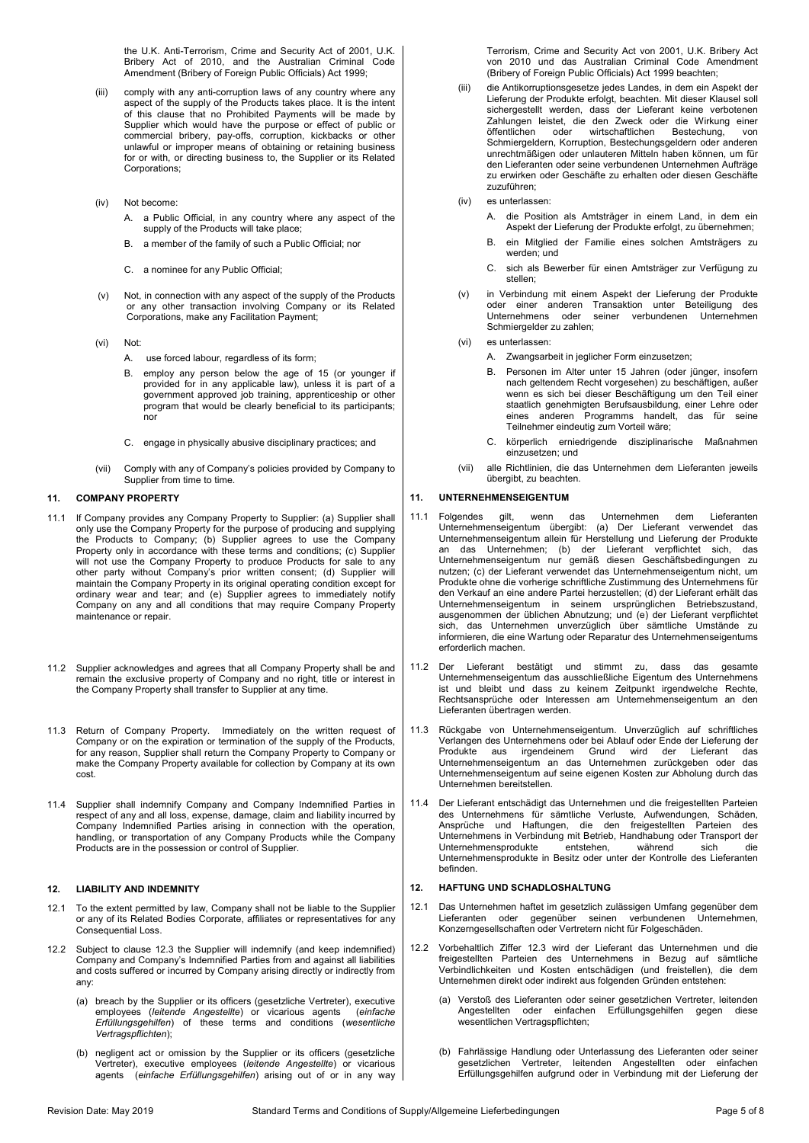the U.K. Anti-Terrorism, Crime and Security Act of 2001, U.K. Bribery Act of 2010, and the Australian Criminal Code Amendment (Bribery of Foreign Public Officials) Act 1999;

- (iii) comply with any anti-corruption laws of any country where any aspect of the supply of the Products takes place. It is the intent of this clause that no Prohibited Payments will be made by Supplier which would have the purpose or effect of public or commercial bribery, pay-offs, corruption, kickbacks or other unlawful or improper means of obtaining or retaining business for or with, or directing business to, the Supplier or its Related Corporations;
- (iv) Not become:
	- A. a Public Official, in any country where any aspect of the supply of the Products will take place;
	- B. a member of the family of such a Public Official; nor
	- C. a nominee for any Public Official;
- (v) Not, in connection with any aspect of the supply of the Products or any other transaction involving Company or its Related Corporations, make any Facilitation Payment;
- (vi) Not:
	- A. use forced labour, regardless of its form;
	- employ any person below the age of 15 (or younger if provided for in any applicable law), unless it is part of a government approved job training, apprenticeship or other program that would be clearly beneficial to its participants; nor
	- C. engage in physically abusive disciplinary practices; and
- (vii) Comply with any of Company's policies provided by Company to Supplier from time to time.

#### **11. COMPANY PROPERTY**

- 11.1 If Company provides any Company Property to Supplier: (a) Supplier shall only use the Company Property for the purpose of producing and supplying the Products to Company; (b) Supplier agrees to use the Company Property only in accordance with these terms and conditions; (c) Supplier will not use the Company Property to produce Products for sale to any other party without Company's prior written consent; (d) Supplier will maintain the Company Property in its original operating condition except for ordinary wear and tear; and (e) Supplier agrees to immediately notify Company on any and all conditions that may require Company Property maintenance or repair.
- 11.2 Supplier acknowledges and agrees that all Company Property shall be and remain the exclusive property of Company and no right, title or interest in the Company Property shall transfer to Supplier at any time.
- 11.3 Return of Company Property. Immediately on the written request of Company or on the expiration or termination of the supply of the Products, for any reason, Supplier shall return the Company Property to Company or make the Company Property available for collection by Company at its own cost.
- 11.4 Supplier shall indemnify Company and Company Indemnified Parties in respect of any and all loss, expense, damage, claim and liability incurred by Company Indemnified Parties arising in connection with the operation, handling, or transportation of any Company Products while the Company Products are in the possession or control of Supplier.

#### **12. LIABILITY AND INDEMNITY**

- 12.1 To the extent permitted by law, Company shall not be liable to the Supplier or any of its Related Bodies Corporate, affiliates or representatives for any Consequential Loss.
- 12.2 Subject to clause [12.3](#page-5-0) the Supplier will indemnify (and keep indemnified) Company and Company's Indemnified Parties from and against all liabilities and costs suffered or incurred by Company arising directly or indirectly from any:
	- (a) breach by the Supplier or its officers (gesetzliche Vertreter), executive employees (*leitende Angestellte*) or vicarious agents (*einfache Erfüllungsgehilfen*) of these terms and conditions (*wesentliche Vertragspflichten*);
	- (b) negligent act or omission by the Supplier or its officers (gesetzliche Vertreter), executive employees (*leitende Angestellte*) or vicarious agents (*einfache Erfüllungsgehilfen*) arising out of or in any way

Terrorism, Crime and Security Act von 2001, U.K. Bribery Act von 2010 und das Australian Criminal Code Amendment (Bribery of Foreign Public Officials) Act 1999 beachten;

- (iii) die Antikorruptionsgesetze jedes Landes, in dem ein Aspekt der Lieferung der Produkte erfolgt, beachten. Mit dieser Klausel soll sichergestellt werden, dass der Lieferant keine verbotenen Zahlungen leistet, die den Zweck oder die Wirkung einer<br>öffentlichen oder wirtschaftlichen Bestechung von oder wirtschaftlichen Bestechung, von Schmiergeldern, Korruption, Bestechungsgeldern oder anderen unrechtmäßigen oder unlauteren Mitteln haben können, um für den Lieferanten oder seine verbundenen Unternehmen Aufträge zu erwirken oder Geschäfte zu erhalten oder diesen Geschäfte zuzuführen;
- (iv) es unterlassen:
	- A. die Position als Amtsträger in einem Land, in dem ein Aspekt der Lieferung der Produkte erfolgt, zu übernehmen;
	- B. ein Mitglied der Familie eines solchen Amtsträgers zu werden; und
	- C. sich als Bewerber für einen Amtsträger zur Verfügung zu stellen;
- (v) in Verbindung mit einem Aspekt der Lieferung der Produkte oder einer anderen Transaktion unter Beteiligung des Unternehmens oder seiner verbundenen Unternehmen Schmiergelder zu zahlen;
- (vi) es unterlassen:
	- A. Zwangsarbeit in jeglicher Form einzusetzen;
	- B. Personen im Alter unter 15 Jahren (oder jünger, insofern nach geltendem Recht vorgesehen) zu beschäftigen, außer wenn es sich bei dieser Beschäftigung um den Teil einer staatlich genehmigten Berufsausbildung, einer Lehre oder eines anderen Programms handelt, das für seine Teilnehmer eindeutig zum Vorteil wäre;
	- C. körperlich erniedrigende disziplinarische Maßnahmen einzusetzen; und
	- (vii) alle Richtlinien, die das Unternehmen dem Lieferanten jeweils übergibt, zu beachten.

# **11. UNTERNEHMENSEIGENTUM**

- 11.1 Folgendes gilt, wenn das Unternehmen dem Lieferanten Unternehmenseigentum übergibt: (a) Der Lieferant verwendet das Unternehmenseigentum allein für Herstellung und Lieferung der Produkte an das Unternehmen; (b) der Lieferant verpflichtet sich, das Unternehmenseigentum nur gemäß diesen Geschäftsbedingungen zu nutzen; (c) der Lieferant verwendet das Unternehmenseigentum nicht, um Produkte ohne die vorherige schriftliche Zustimmung des Unternehmens für den Verkauf an eine andere Partei herzustellen; (d) der Lieferant erhält das Unternehmenseigentum in seinem ursprünglichen Betriebszustand, ausgenommen der üblichen Abnutzung; und (e) der Lieferant verpflichtet sich, das Unternehmen unverzüglich über sämtliche Umstände zu informieren, die eine Wartung oder Reparatur des Unternehmenseigentums erforderlich machen.
- Der Lieferant bestätigt und stimmt zu, dass das gesamte Unternehmenseigentum das ausschließliche Eigentum des Unternehmens ist und bleibt und dass zu keinem Zeitpunkt irgendwelche Rechte, Rechtsansprüche oder Interessen am Unternehmenseigentum an den Lieferanten übertragen werden.
- 11.3 Rückgabe von Unternehmenseigentum. Unverzüglich auf schriftliches Verlangen des Unternehmens oder bei Ablauf oder Ende der Lieferung der Produkte aus irgendeinem Grund wird der Lieferant das Unternehmenseigentum an das Unternehmen zurückgeben oder das Unternehmenseigentum auf seine eigenen Kosten zur Abholung durch das Unternehmen bereitstellen.
- 11.4 Der Lieferant entschädigt das Unternehmen und die freigestellten Parteien des Unternehmens für sämtliche Verluste, Aufwendungen, Schäden, Ansprüche und Haftungen, die den freigestellten Parteien des Unternehmens in Verbindung mit Betrieb, Handhabung oder Transport der Unternehmensprodukte entstehen, während sich die Unternehmensprodukte in Besitz oder unter der Kontrolle des Lieferanten befinden.

#### **12. HAFTUNG UND SCHADLOSHALTUNG**

- 12.1 Das Unternehmen haftet im gesetzlich zulässigen Umfang gegenüber dem Lieferanten oder gegenüber seinen verbundenen Unternehmen, Konzerngesellschaften oder Vertretern nicht für Folgeschäden.
- 12.2 Vorbehaltlich Ziffer [12.3](#page-5-0) wird der Lieferant das Unternehmen und die freigestellten Parteien des Unternehmens in Bezug auf sämtliche Verbindlichkeiten und Kosten entschädigen (und freistellen), die dem Unternehmen direkt oder indirekt aus folgenden Gründen entstehen:
	- (a) Verstoß des Lieferanten oder seiner gesetzlichen Vertreter, leitenden Angestellten oder einfachen Erfüllungsgehilfen gegen diese wesentlichen Vertragspflichten;
	- (b) Fahrlässige Handlung oder Unterlassung des Lieferanten oder seiner gesetzlichen Vertreter, leitenden Angestellten oder einfachen Erfüllungsgehilfen aufgrund oder in Verbindung mit der Lieferung der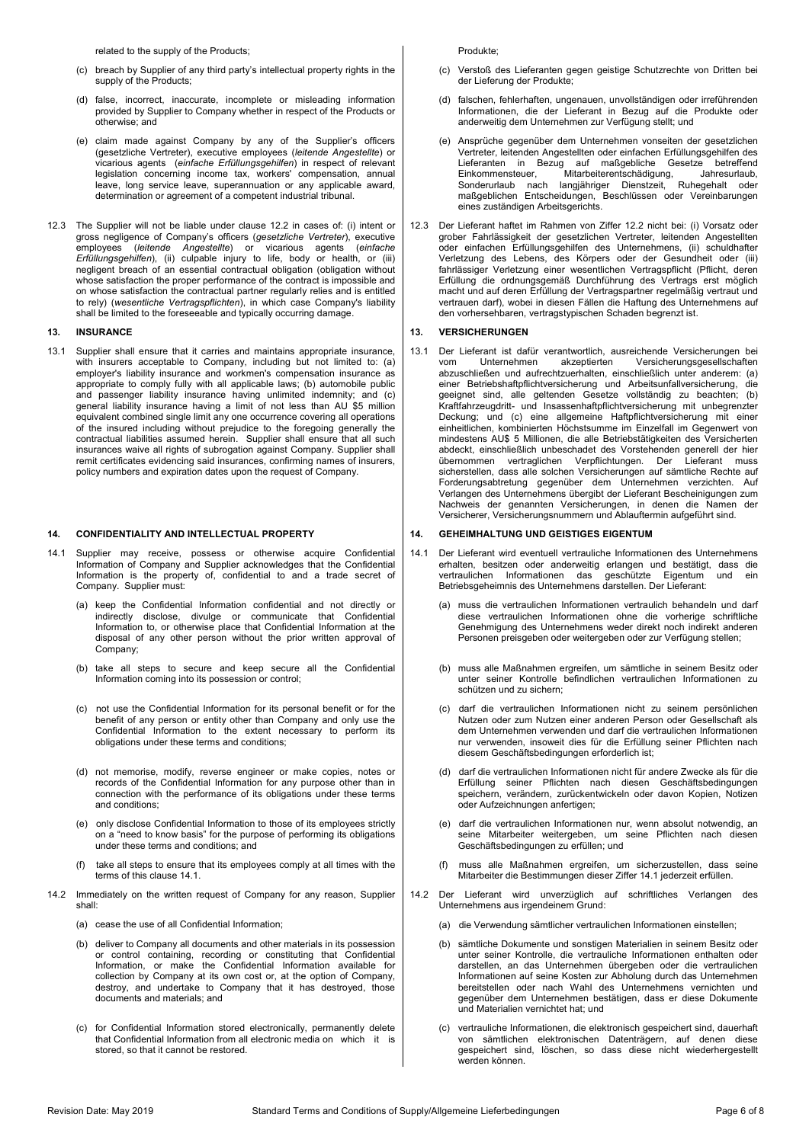related to the supply of the Products;

- (c) breach by Supplier of any third party's intellectual property rights in the supply of the Products:
- (d) false, incorrect, inaccurate, incomplete or misleading information provided by Supplier to Company whether in respect of the Products or otherwise; and
- (e) claim made against Company by any of the Supplier's officers (gesetzliche Vertreter), executive employees (*leitende Angestellte*) or vicarious agents (e*infache Erfüllungsgehilfen*) in respect of relevant<br>legislation concerning income tax, workers' compensation, annual leave, long service leave, superannuation or any applicable award, determination or agreement of a competent industrial tribunal.
- 12.3 The Supplier will not be liable under clause 12.2 in cases of: (i) intent or gross negligence of Company's officers (*gesetzliche Vertreter*), executive employees (*leitende Angestellte*) or vicarious agents (*einfache* employees (*leitende Angestellte*) or vicarious agents (*einfache Erfüllungsgehilfen*), (ii) culpable injury to life, body or health, or (iii) negligent breach of an essential contractual obligation (obligation without whose satisfaction the proper performance of the contract is impossible and on whose satisfaction the contractual partner regularly relies and is entitled to rely) (*wesentliche Vertragspflichten*), in which case Company's liability shall be limited to the foreseeable and typically occurring damage.

### **13. INSURANCE**

13.1 Supplier shall ensure that it carries and maintains appropriate insurance, with insurers acceptable to Company, including but not limited to: (a) employer's liability insurance and workmen's compensation insurance as appropriate to comply fully with all applicable laws; (b) automobile public and passenger liability insurance having unlimited indemnity; and (c) general liability insurance having a limit of not less than AU \$5 million equivalent combined single limit any one occurrence covering all operations of the insured including without prejudice to the foregoing generally the contractual liabilities assumed herein. Supplier shall ensure that all such insurances waive all rights of subrogation against Company. Supplier shall remit certificates evidencing said insurances, confirming names of insurers, policy numbers and expiration dates upon the request of Company.

# **14. CONFIDENTIALITY AND INTELLECTUAL PROPERTY**

- 14.1 Supplier may receive, possess or otherwise acquire Confidential Information of Company and Supplier acknowledges that the Confidential Information is the property of, confidential to and a trade secret of Company. Supplier must:
	- (a) keep the Confidential Information confidential and not directly or indirectly disclose, divulge or communicate that Confidential Information to, or otherwise place that Confidential Information at the disposal of any other person without the prior written approval of Company;
	- (b) take all steps to secure and keep secure all the Confidential Information coming into its possession or control;
	- (c) not use the Confidential Information for its personal benefit or for the benefit of any person or entity other than Company and only use the Confidential Information to the extent necessary to perform its obligations under these terms and conditions;
	- (d) not memorise, modify, reverse engineer or make copies, notes or records of the Confidential Information for any purpose other than in connection with the performance of its obligations under these terms and conditions;
	- (e) only disclose Confidential Information to those of its employees strictly on a "need to know basis" for the purpose of performing its obligations under these terms and conditions; and
	- (f) take all steps to ensure that its employees comply at all times with the terms of this claus[e 14.1.](#page-5-1)
- 14.2 Immediately on the written request of Company for any reason, Supplier shall:

(a) cease the use of all Confidential Information;

- (b) deliver to Company all documents and other materials in its possession or control containing, recording or constituting that Confidential Information, or make the Confidential Information available for collection by Company at its own cost or, at the option of Company, destroy, and undertake to Company that it has destroyed, those documents and materials; and
- (c) for Confidential Information stored electronically, permanently delete that Confidential Information from all electronic media on which it is stored, so that it cannot be restored.

Produkte;

- (c) Verstoß des Lieferanten gegen geistige Schutzrechte von Dritten bei der Lieferung der Produkte;
- (d) falschen, fehlerhaften, ungenauen, unvollständigen oder irreführenden Informationen, die der Lieferant in Bezug auf die Produkte oder anderweitig dem Unternehmen zur Verfügung stellt; und
- (e) Ansprüche gegenüber dem Unternehmen vonseiten der gesetzlichen Vertreter, leitenden Angestellten oder einfachen Erfüllungsgehilfen des Lieferanten in Bezug auf maßgebliche Gesetze betreffend Einkommensteuer, Mitarbeiterentschädigung, Jahresurlaub, Sonderurlaub nach langjähriger Dienstzeit, Ruhegehalt oder maßgeblichen Entscheidungen, Beschlüssen oder Vereinbarungen eines zuständigen Arbeitsgerichts.
- <span id="page-5-0"></span>12.3 Der Lieferant haftet im Rahmen von Ziffer 12.2 nicht bei: (i) Vorsatz oder grober Fahrlässigkeit der gesetzlichen Vertreter, leitenden Angestellten oder einfachen Erfüllungsgehilfen des Unternehmens, (ii) schuldhafter Verletzung des Lebens, des Körpers oder der Gesundheit oder (iii) fahrlässiger Verletzung einer wesentlichen Vertragspflicht (Pflicht, deren Erfüllung die ordnungsgemäß Durchführung des Vertrags erst möglich macht und auf deren Erfüllung der Vertragspartner regelmäßig vertraut und vertrauen darf), wobei in diesen Fällen die Haftung des Unternehmens auf den vorhersehbaren, vertragstypischen Schaden begrenzt ist.

# **13. VERSICHERUNGEN**

13.1 Der Lieferant ist dafür verantwortlich, ausreichende Versicherungen bei<br>vom Unternehmen akzeptierten Versicherungsgesellschaften vom Unternehmen akzeptierten Versicherungsgesellschaften abzuschließen und aufrechtzuerhalten, einschließlich unter anderem: (a) einer Betriebshaftpflichtversicherung und Arbeitsunfallversicherung, die geeignet sind, alle geltenden Gesetze vollständig zu beachten; (b) Kraftfahrzeugdritt- und Insassenhaftpflichtversicherung mit unbegrenzter Deckung; und (c) eine allgemeine Haftpflichtversicherung mit einer einheitlichen, kombinierten Höchstsumme im Einzelfall im Gegenwert von mindestens AU\$ 5 Millionen, die alle Betriebstätigkeiten des Versicherten abdeckt, einschließlich unbeschadet des Vorstehenden generell der hier übernommen vertraglichen Verpflichtungen. Der Lieferant muss sicherstellen, dass alle solchen Versicherungen auf sämtliche Rechte auf Forderungsabtretung gegenüber dem Unternehmen verzichten. Auf Verlangen des Unternehmens übergibt der Lieferant Bescheinigungen zum Nachweis der genannten Versicherungen, in denen die Namen der Versicherer, Versicherungsnummern und Ablauftermin aufgeführt sind.

#### **14. GEHEIMHALTUNG UND GEISTIGES EIGENTUM**

- <span id="page-5-1"></span>14.1 Der Lieferant wird eventuell vertrauliche Informationen des Unternehmens erhalten, besitzen oder anderweitig erlangen und bestätigt, dass die<br>vertraulichen Informationen das geschützte Eigentum und ein vertraulichen Informationen das geschützte Eigentum Betriebsgeheimnis des Unternehmens darstellen. Der Lieferant:
	- muss die vertraulichen Informationen vertraulich behandeln und darf diese vertraulichen Informationen ohne die vorherige schriftliche Genehmigung des Unternehmens weder direkt noch indirekt anderen Personen preisgeben oder weitergeben oder zur Verfügung stellen;
	- (b) muss alle Maßnahmen ergreifen, um sämtliche in seinem Besitz oder unter seiner Kontrolle befindlichen vertraulichen Informationen zu schützen und zu sichern;
	- (c) darf die vertraulichen Informationen nicht zu seinem persönlichen Nutzen oder zum Nutzen einer anderen Person oder Gesellschaft als dem Unternehmen verwenden und darf die vertraulichen Informationen nur verwenden, insoweit dies für die Erfüllung seiner Pflichten nach diesem Geschäftsbedingungen erforderlich ist;
	- (d) darf die vertraulichen Informationen nicht für andere Zwecke als für die Erfüllung seiner Pflichten nach diesen Geschäftsbedingungen speichern, verändern, zurückentwickeln oder davon Kopien, Notizen oder Aufzeichnungen anfertigen;
	- (e) darf die vertraulichen Informationen nur, wenn absolut notwendig, an seine Mitarbeiter weitergeben, um seine Pflichten nach diesen Geschäftsbedingungen zu erfüllen; und
	- (f) muss alle Maßnahmen ergreifen, um sicherzustellen, dass seine Mitarbeiter die Bestimmungen dieser Ziffe[r 14.1](#page-5-1) jederzeit erfüllen.
- 14.2 Der Lieferant wird unverzüglich auf schriftliches Verlangen des Unternehmens aus irgendeinem Grund:
	- (a) die Verwendung sämtlicher vertraulichen Informationen einstellen;
	- (b) sämtliche Dokumente und sonstigen Materialien in seinem Besitz oder unter seiner Kontrolle, die vertrauliche Informationen enthalten oder darstellen, an das Unternehmen übergeben oder die vertraulichen Informationen auf seine Kosten zur Abholung durch das Unternehmen bereitstellen oder nach Wahl des Unternehmens vernichten und gegenüber dem Unternehmen bestätigen, dass er diese Dokumente und Materialien vernichtet hat; und
	- (c) vertrauliche Informationen, die elektronisch gespeichert sind, dauerhaft von sämtlichen elektronischen Datenträgern, auf denen diese gespeichert sind, löschen, so dass diese nicht wiederhergestellt werden können.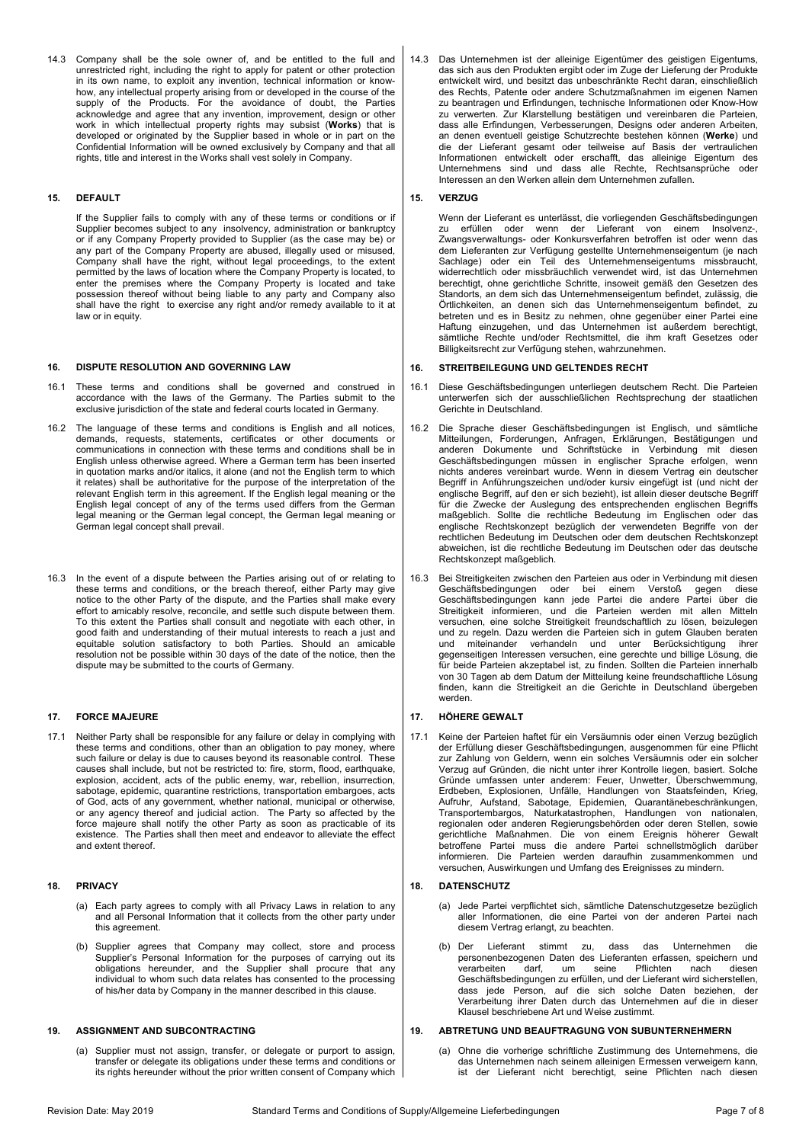14.3 Company shall be the sole owner of, and be entitled to the full and unrestricted right, including the right to apply for patent or other protection in its own name, to exploit any invention, technical information or knowhow, any intellectual property arising from or developed in the course of the supply of the Products. For the avoidance of doubt, the Parties acknowledge and agree that any invention, improvement, design or other work in which intellectual property rights may subsist (**Works**) that is developed or originated by the Supplier based in whole or in part on the Confidential Information will be owned exclusively by Company and that all rights, title and interest in the Works shall vest solely in Company.

# **15. DEFAULT**

If the Supplier fails to comply with any of these terms or conditions or if Supplier becomes subject to any insolvency, administration or bankruptcy or if any Company Property provided to Supplier (as the case may be) or any part of the Company Property are abused, illegally used or misused, Company shall have the right, without legal proceedings, to the extent permitted by the laws of location where the Company Property is located, to enter the premises where the Company Property is located and take possession thereof without being liable to any party and Company also shall have the right to exercise any right and/or remedy available to it at law or in equity.

# **16. DISPUTE RESOLUTION AND GOVERNING LAW**

- 16.1 These terms and conditions shall be governed and construed in accordance with the laws of the Germany. The Parties submit to the exclusive jurisdiction of the state and federal courts located in Germany.
- 16.2 The language of these terms and conditions is English and all notices, demands, requests, statements, certificates or other documents or communications in connection with these terms and conditions shall be in English unless otherwise agreed. Where a German term has been inserted in quotation marks and/or italics, it alone (and not the English term to which it relates) shall be authoritative for the purpose of the interpretation of the relevant English term in this agreement. If the English legal meaning or the English legal concept of any of the terms used differs from the German legal meaning or the German legal concept, the German legal meaning or German legal concept shall prevail.
- 16.3 In the event of a dispute between the Parties arising out of or relating to these terms and conditions, or the breach thereof, either Party may give notice to the other Party of the dispute, and the Parties shall make every effort to amicably resolve, reconcile, and settle such dispute between them. To this extent the Parties shall consult and negotiate with each other, in good faith and understanding of their mutual interests to reach a just and equitable solution satisfactory to both Parties. Should an amicable resolution not be possible within 30 days of the date of the notice, then the dispute may be submitted to the courts of Germany.

# **17. FORCE MAJEURE**

17.1 Neither Party shall be responsible for any failure or delay in complying with these terms and conditions, other than an obligation to pay money, where such failure or delay is due to causes beyond its reasonable control. These causes shall include, but not be restricted to: fire, storm, flood, earthquake, explosion, accident, acts of the public enemy, war, rebellion, insurrection, sabotage, epidemic, quarantine restrictions, transportation embargoes, acts of God, acts of any government, whether national, municipal or otherwise, or any agency thereof and judicial action. The Party so affected by the force majeure shall notify the other Party as soon as practicable of its existence. The Parties shall then meet and endeavor to alleviate the effect and extent thereof.

#### **18. PRIVACY**

- (a) Each party agrees to comply with all Privacy Laws in relation to any and all Personal Information that it collects from the other party under this agreement.
- (b) Supplier agrees that Company may collect, store and process Supplier's Personal Information for the purposes of carrying out its obligations hereunder, and the Supplier shall procure that any individual to whom such data relates has consented to the processing of his/her data by Company in the manner described in this clause.

# **19. ASSIGNMENT AND SUBCONTRACTING**

(a) Supplier must not assign, transfer, or delegate or purport to assign, transfer or delegate its obligations under these terms and conditions or its rights hereunder without the prior written consent of Company which 14.3 Das Unternehmen ist der alleinige Eigentümer des geistigen Eigentums, das sich aus den Produkten ergibt oder im Zuge der Lieferung der Produkte entwickelt wird, und besitzt das unbeschränkte Recht daran, einschließlich des Rechts, Patente oder andere Schutzmaßnahmen im eigenen Namen zu beantragen und Erfindungen, technische Informationen oder Know-How zu verwerten. Zur Klarstellung bestätigen und vereinbaren die Parteien, dass alle Erfindungen, Verbesserungen, Designs oder anderen Arbeiten, an denen eventuell geistige Schutzrechte bestehen können (**Werke**) und die der Lieferant gesamt oder teilweise auf Basis der vertraulichen Informationen entwickelt oder erschafft, das alleinige Eigentum des Unternehmens sind und dass alle Rechte, Rechtsansprüche oder Interessen an den Werken allein dem Unternehmen zufallen.

# **15. VERZUG**

Wenn der Lieferant es unterlässt, die vorliegenden Geschäftsbedingungen zu erfüllen oder wenn der Lieferant von einem Insolvenz-, Zwangsverwaltungs- oder Konkursverfahren betroffen ist oder wenn das dem Lieferanten zur Verfügung gestellte Unternehmenseigentum (je nach Sachlage) oder ein Teil des Unternehmenseigentums missbraucht, widerrechtlich oder missbräuchlich verwendet wird, ist das Unternehmen berechtigt, ohne gerichtliche Schritte, insoweit gemäß den Gesetzen des Standorts, an dem sich das Unternehmenseigentum befindet, zulässig, die Örtlichkeiten, an denen sich das Unternehmenseigentum befindet, zu betreten und es in Besitz zu nehmen, ohne gegenüber einer Partei eine Haftung einzugehen, und das Unternehmen ist außerdem berechtigt, sämtliche Rechte und/oder Rechtsmittel, die ihm kraft Gesetzes oder Billigkeitsrecht zur Verfügung stehen, wahrzunehmen.

# **16. STREITBEILEGUNG UND GELTENDES RECHT**

- 16.1 Diese Geschäftsbedingungen unterliegen deutschem Recht. Die Parteien unterwerfen sich der ausschließlichen Rechtsprechung der staatlichen Gerichte in Deutschland.
- 16.2 Die Sprache dieser Geschäftsbedingungen ist Englisch, und sämtliche Mitteilungen, Forderungen, Anfragen, Erklärungen, Bestätigungen und anderen Dokumente und Schriftstücke in Verbindung mit diesen Geschäftsbedingungen müssen in englischer Sprache erfolgen, wenn nichts anderes vereinbart wurde. Wenn in diesem Vertrag ein deutscher Begriff in Anführungszeichen und/oder kursiv eingefügt ist (und nicht der englische Begriff, auf den er sich bezieht), ist allein dieser deutsche Begriff für die Zwecke der Auslegung des entsprechenden englischen Begriffs maßgeblich. Sollte die rechtliche Bedeutung im Englischen oder das englische Rechtskonzept bezüglich der verwendeten Begriffe von der rechtlichen Bedeutung im Deutschen oder dem deutschen Rechtskonzept abweichen, ist die rechtliche Bedeutung im Deutschen oder das deutsche Rechtskonzept maßgeblich.
- 16.3 Bei Streitigkeiten zwischen den Parteien aus oder in Verbindung mit diesen Geschäftsbedingungen oder bei einem Verstoß gegen diese Geschäftsbedingungen kann jede Partei die andere Partei über die Streitigkeit informieren, und die Parteien werden mit allen Mitteln versuchen, eine solche Streitigkeit freundschaftlich zu lösen, beizulegen und zu regeln. Dazu werden die Parteien sich in gutem Glauben beraten und miteinander verhandeln und unter Berücksichtigung ihrer gegenseitigen Interessen versuchen, eine gerechte und billige Lösung, die für beide Parteien akzeptabel ist, zu finden. Sollten die Parteien innerhalb von 30 Tagen ab dem Datum der Mitteilung keine freundschaftliche Lösung finden, kann die Streitigkeit an die Gerichte in Deutschland übergeben werden.

#### **17. HÖHERE GEWALT**

17.1 Keine der Parteien haftet für ein Versäumnis oder einen Verzug bezüglich der Erfüllung dieser Geschäftsbedingungen, ausgenommen für eine Pflicht zur Zahlung von Geldern, wenn ein solches Versäumnis oder ein solcher Verzug auf Gründen, die nicht unter ihrer Kontrolle liegen, basiert. Solche Gründe umfassen unter anderem: Feuer, Unwetter, Überschwemmung, Erdbeben, Explosionen, Unfälle, Handlungen von Staatsfeinden, Krieg, Aufruhr, Aufstand, Sabotage, Epidemien, Quarantänebeschränkungen, Transportembargos, Naturkatastrophen, Handlungen von nationalen, regionalen oder anderen Regierungsbehörden oder deren Stellen, sowie gerichtliche Maßnahmen. Die von einem Ereignis höherer Gewalt betroffene Partei muss die andere Partei schnellstmöglich darüber informieren. Die Parteien werden daraufhin zusammenkommen und versuchen, Auswirkungen und Umfang des Ereignisses zu mindern.

# **18. DATENSCHUTZ**

- (a) Jede Partei verpflichtet sich, sämtliche Datenschutzgesetze bezüglich aller Informationen, die eine Partei von der anderen Partei nach diesem Vertrag erlangt, zu beachten.
- (b) Der Lieferant stimmt zu, dass das Unternehmen die personenbezogenen Daten des Lieferanten erfassen, speichern und verarbeiten darf, um seine Pflichten nach diesen Geschäftsbedingungen zu erfüllen, und der Lieferant wird sicherstellen, dass jede Person, auf die sich solche Daten beziehen, der Verarbeitung ihrer Daten durch das Unternehmen auf die in dieser Klausel beschriebene Art und Weise zustimmt.

# **19. ABTRETUNG UND BEAUFTRAGUNG VON SUBUNTERNEHMERN**

(a) Ohne die vorherige schriftliche Zustimmung des Unternehmens, die das Unternehmen nach seinem alleinigen Ermessen verweigern kann, ist der Lieferant nicht berechtigt, seine Pflichten nach diesen